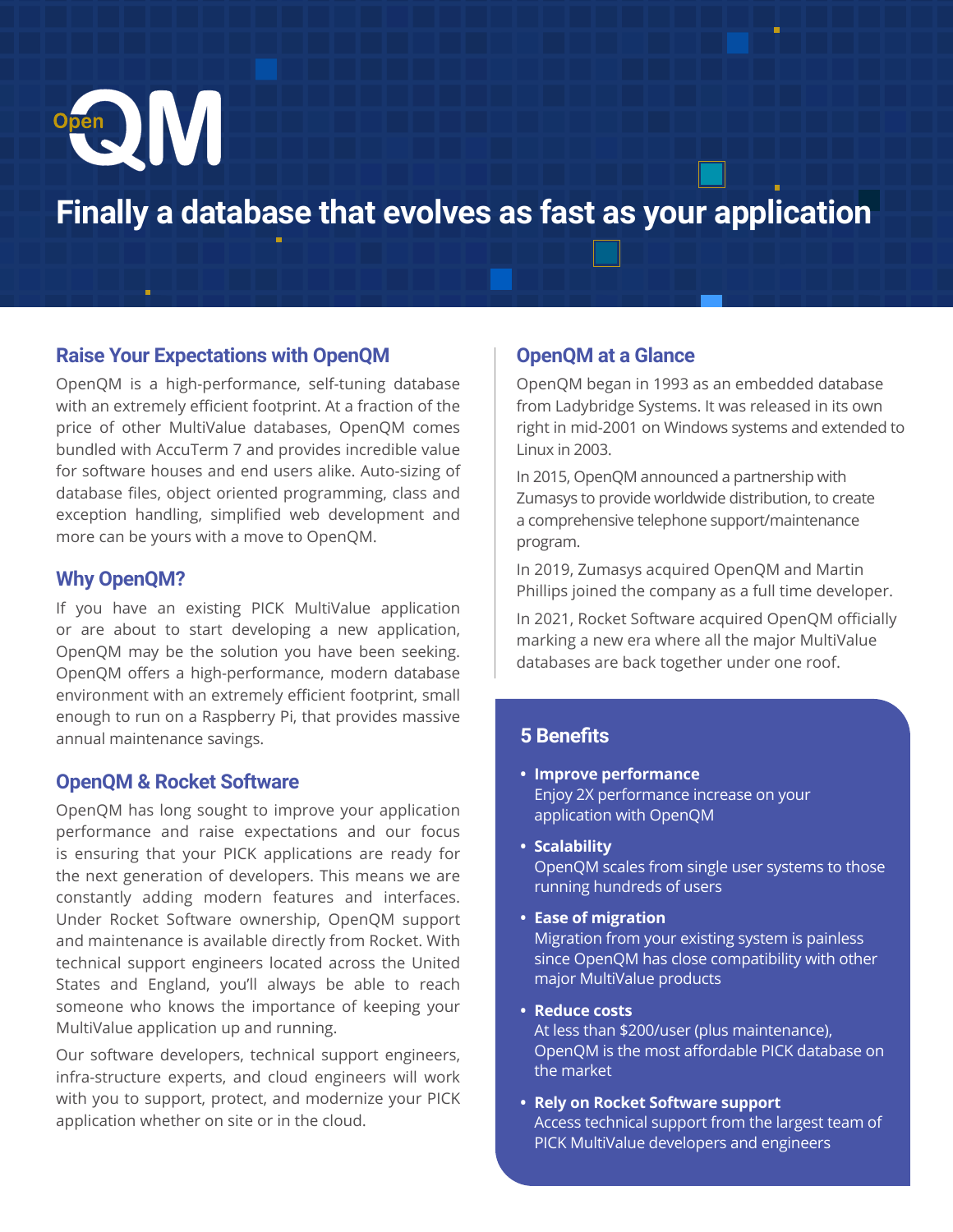

# **Finally a database that evolves as fast as your application**

#### **Raise Your Expectations with OpenQM**

OpenQM is a high-performance, self-tuning database with an extremely efficient footprint. At a fraction of the price of other MultiValue databases, OpenQM comes bundled with AccuTerm 7 and provides incredible value for software houses and end users alike. Auto-sizing of database files, object oriented programming, class and exception handling, simplified web development and more can be yours with a move to OpenQM.

#### **Why OpenQM?**

If you have an existing PICK MultiValue application or are about to start developing a new application, OpenQM may be the solution you have been seeking. OpenQM offers a high-performance, modern database environment with an extremely efficient footprint, small enough to run on a Raspberry Pi, that provides massive annual maintenance savings.

# **OpenQM & Rocket Software**

OpenQM has long sought to improve your application performance and raise expectations and our focus is ensuring that your PICK applications are ready for the next generation of developers. This means we are constantly adding modern features and interfaces. Under Rocket Software ownership, OpenQM support and maintenance is available directly from Rocket. With technical support engineers located across the United States and England, you'll always be able to reach someone who knows the importance of keeping your MultiValue application up and running.

Our software developers, technical support engineers, infra-structure experts, and cloud engineers will work with you to support, protect, and modernize your PICK application whether on site or in the cloud.

# **OpenQM at a Glance**

OpenQM began in 1993 as an embedded database from Ladybridge Systems. It was released in its own right in mid-2001 on Windows systems and extended to Linux in 2003.

In 2015, OpenQM announced a partnership with Zumasys to provide worldwide distribution, to create a comprehensive telephone support/maintenance program.

In 2019, Zumasys acquired OpenQM and Martin Phillips joined the company as a full time developer.

In 2021, Rocket Software acquired OpenQM officially marking a new era where all the major MultiValue databases are back together under one roof.

# **5 Benefits**

- **• Improve performance** Enjoy 2X performance increase on your application with OpenQM
- **• Scalability**

OpenQM scales from single user systems to those running hundreds of users

**• Ease of migration**

Migration from your existing system is painless since OpenQM has close compatibility with other major MultiValue products

**• Reduce costs**

At less than \$200/user (plus maintenance), OpenQM is the most affordable PICK database on the market

**• Rely on Rocket Software support** Access technical support from the largest team of PICK MultiValue developers and engineers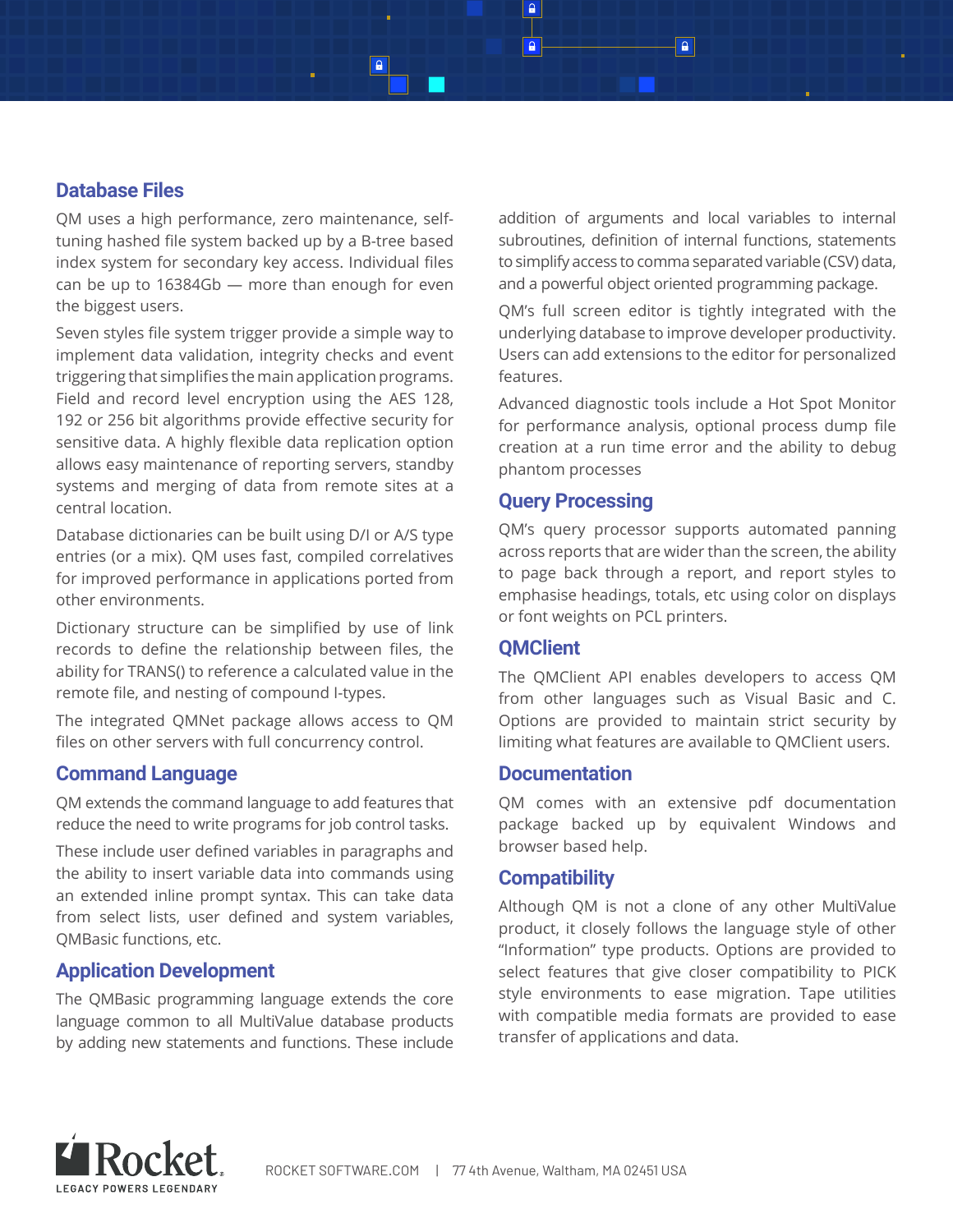# **Database Files**

QM uses a high performance, zero maintenance, selftuning hashed file system backed up by a B-tree based index system for secondary key access. Individual files can be up to 16384Gb — more than enough for even the biggest users.

Seven styles file system trigger provide a simple way to implement data validation, integrity checks and event triggering that simplifies the main application programs. Field and record level encryption using the AES 128, 192 or 256 bit algorithms provide effective security for sensitive data. A highly flexible data replication option allows easy maintenance of reporting servers, standby systems and merging of data from remote sites at a central location.

Database dictionaries can be built using D/I or A/S type entries (or a mix). QM uses fast, compiled correlatives for improved performance in applications ported from other environments.

Dictionary structure can be simplified by use of link records to define the relationship between files, the ability for TRANS() to reference a calculated value in the remote file, and nesting of compound I-types.

The integrated QMNet package allows access to QM files on other servers with full concurrency control.

# **Command Language**

QM extends the command language to add features that reduce the need to write programs for job control tasks.

These include user defined variables in paragraphs and the ability to insert variable data into commands using an extended inline prompt syntax. This can take data from select lists, user defined and system variables, QMBasic functions, etc.

#### **Application Development**

The QMBasic programming language extends the core language common to all MultiValue database products by adding new statements and functions. These include addition of arguments and local variables to internal subroutines, definition of internal functions, statements to simplify access to comma separated variable (CSV) data, and a powerful object oriented programming package.

QM's full screen editor is tightly integrated with the underlying database to improve developer productivity. Users can add extensions to the editor for personalized features.

Advanced diagnostic tools include a Hot Spot Monitor for performance analysis, optional process dump file creation at a run time error and the ability to debug phantom processes

#### **Query Processing**

QM's query processor supports automated panning across reports that are wider than the screen, the ability to page back through a report, and report styles to emphasise headings, totals, etc using color on displays or font weights on PCL printers.

#### **QMClient**

The QMClient API enables developers to access QM from other languages such as Visual Basic and C. Options are provided to maintain strict security by limiting what features are available to QMClient users.

#### **Documentation**

QM comes with an extensive pdf documentation package backed up by equivalent Windows and browser based help.

#### **Compatibility**

Although QM is not a clone of any other MultiValue product, it closely follows the language style of other "Information" type products. Options are provided to select features that give closer compatibility to PICK style environments to ease migration. Tape utilities with compatible media formats are provided to ease transfer of applications and data.